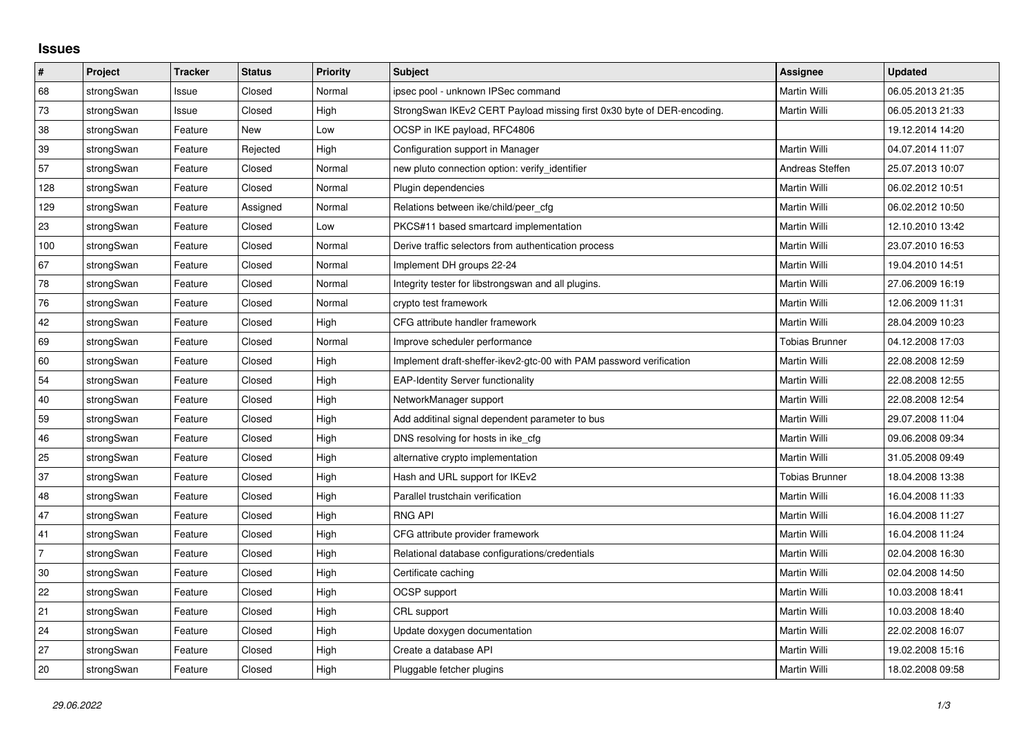## **Issues**

| $\pmb{\#}$ | Project    | <b>Tracker</b> | <b>Status</b> | <b>Priority</b> | <b>Subject</b>                                                         | Assignee              | <b>Updated</b>   |
|------------|------------|----------------|---------------|-----------------|------------------------------------------------------------------------|-----------------------|------------------|
| 68         | strongSwan | Issue          | Closed        | Normal          | ipsec pool - unknown IPSec command                                     | <b>Martin Willi</b>   | 06.05.2013 21:35 |
| 73         | strongSwan | Issue          | Closed        | High            | StrongSwan IKEv2 CERT Payload missing first 0x30 byte of DER-encoding. | Martin Willi          | 06.05.2013 21:33 |
| 38         | strongSwan | Feature        | New           | Low             | OCSP in IKE payload, RFC4806                                           |                       | 19.12.2014 14:20 |
| 39         | strongSwan | Feature        | Rejected      | High            | Configuration support in Manager                                       | <b>Martin Willi</b>   | 04.07.2014 11:07 |
| 57         | strongSwan | Feature        | Closed        | Normal          | new pluto connection option: verify_identifier                         | Andreas Steffen       | 25.07.2013 10:07 |
| 128        | strongSwan | Feature        | Closed        | Normal          | Plugin dependencies                                                    | Martin Willi          | 06.02.2012 10:51 |
| 129        | strongSwan | Feature        | Assigned      | Normal          | Relations between ike/child/peer_cfg                                   | Martin Willi          | 06.02.2012 10:50 |
| 23         | strongSwan | Feature        | Closed        | Low             | PKCS#11 based smartcard implementation                                 | Martin Willi          | 12.10.2010 13:42 |
| 100        | strongSwan | Feature        | Closed        | Normal          | Derive traffic selectors from authentication process                   | Martin Willi          | 23.07.2010 16:53 |
| 67         | strongSwan | Feature        | Closed        | Normal          | Implement DH groups 22-24                                              | Martin Willi          | 19.04.2010 14:51 |
| 78         | strongSwan | Feature        | Closed        | Normal          | Integrity tester for libstrongswan and all plugins.                    | Martin Willi          | 27.06.2009 16:19 |
| 76         | strongSwan | Feature        | Closed        | Normal          | crypto test framework                                                  | Martin Willi          | 12.06.2009 11:31 |
| 42         | strongSwan | Feature        | Closed        | High            | CFG attribute handler framework                                        | Martin Willi          | 28.04.2009 10:23 |
| 69         | strongSwan | Feature        | Closed        | Normal          | Improve scheduler performance                                          | <b>Tobias Brunner</b> | 04.12.2008 17:03 |
| 60         | strongSwan | Feature        | Closed        | High            | Implement draft-sheffer-ikev2-gtc-00 with PAM password verification    | Martin Willi          | 22.08.2008 12:59 |
| 54         | strongSwan | Feature        | Closed        | High            | <b>EAP-Identity Server functionality</b>                               | Martin Willi          | 22.08.2008 12:55 |
| 40         | strongSwan | Feature        | Closed        | High            | NetworkManager support                                                 | Martin Willi          | 22.08.2008 12:54 |
| 59         | strongSwan | Feature        | Closed        | High            | Add additinal signal dependent parameter to bus                        | Martin Willi          | 29.07.2008 11:04 |
| 46         | strongSwan | Feature        | Closed        | High            | DNS resolving for hosts in ike_cfg                                     | Martin Willi          | 09.06.2008 09:34 |
| 25         | strongSwan | Feature        | Closed        | High            | alternative crypto implementation                                      | Martin Willi          | 31.05.2008 09:49 |
| 37         | strongSwan | Feature        | Closed        | High            | Hash and URL support for IKEv2                                         | <b>Tobias Brunner</b> | 18.04.2008 13:38 |
| 48         | strongSwan | Feature        | Closed        | High            | Parallel trustchain verification                                       | Martin Willi          | 16.04.2008 11:33 |
| 47         | strongSwan | Feature        | Closed        | High            | <b>RNG API</b>                                                         | Martin Willi          | 16.04.2008 11:27 |
| 41         | strongSwan | Feature        | Closed        | High            | CFG attribute provider framework                                       | Martin Willi          | 16.04.2008 11:24 |
| 7          | strongSwan | Feature        | Closed        | High            | Relational database configurations/credentials                         | Martin Willi          | 02.04.2008 16:30 |
| 30         | strongSwan | Feature        | Closed        | High            | Certificate caching                                                    | Martin Willi          | 02.04.2008 14:50 |
| 22         | strongSwan | Feature        | Closed        | High            | <b>OCSP</b> support                                                    | Martin Willi          | 10.03.2008 18:41 |
| 21         | strongSwan | Feature        | Closed        | High            | CRL support                                                            | Martin Willi          | 10.03.2008 18:40 |
| 24         | strongSwan | Feature        | Closed        | High            | Update doxygen documentation                                           | Martin Willi          | 22.02.2008 16:07 |
| 27         | strongSwan | Feature        | Closed        | High            | Create a database API                                                  | Martin Willi          | 19.02.2008 15:16 |
| 20         | strongSwan | Feature        | Closed        | High            | Pluggable fetcher plugins                                              | Martin Willi          | 18.02.2008 09:58 |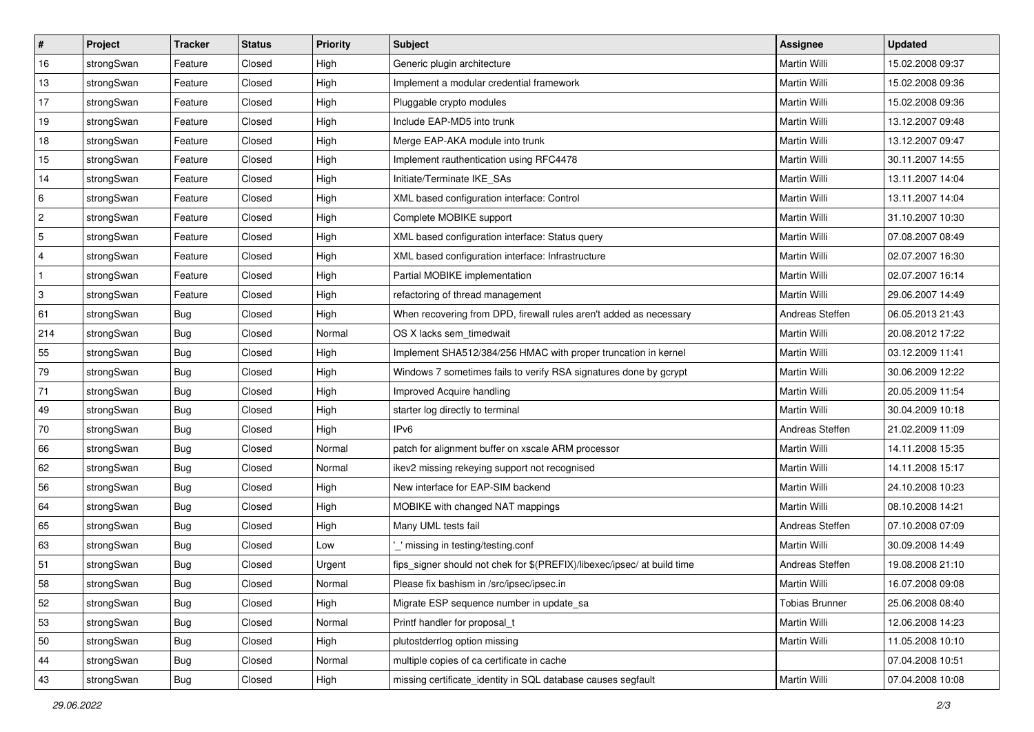| $\vert$ #    | Project    | <b>Tracker</b> | <b>Status</b> | Priority | <b>Subject</b>                                                          | <b>Assignee</b>       | <b>Updated</b>   |
|--------------|------------|----------------|---------------|----------|-------------------------------------------------------------------------|-----------------------|------------------|
| 16           | strongSwan | Feature        | Closed        | High     | Generic plugin architecture                                             | Martin Willi          | 15.02.2008 09:37 |
| 13           | strongSwan | Feature        | Closed        | High     | Implement a modular credential framework                                | Martin Willi          | 15.02.2008 09:36 |
| $17$         | strongSwan | Feature        | Closed        | High     | Pluggable crypto modules                                                | <b>Martin Willi</b>   | 15.02.2008 09:36 |
| 19           | strongSwan | Feature        | Closed        | High     | Include EAP-MD5 into trunk                                              | Martin Willi          | 13.12.2007 09:48 |
| 18           | strongSwan | Feature        | Closed        | High     | Merge EAP-AKA module into trunk                                         | Martin Willi          | 13.12.2007 09:47 |
| 15           | strongSwan | Feature        | Closed        | High     | Implement rauthentication using RFC4478                                 | Martin Willi          | 30.11.2007 14:55 |
| 14           | strongSwan | Feature        | Closed        | High     | Initiate/Terminate IKE_SAs                                              | Martin Willi          | 13.11.2007 14:04 |
| 6            | strongSwan | Feature        | Closed        | High     | XML based configuration interface: Control                              | Martin Willi          | 13.11.2007 14:04 |
| $\sqrt{2}$   | strongSwan | Feature        | Closed        | High     | Complete MOBIKE support                                                 | Martin Willi          | 31.10.2007 10:30 |
| $\sqrt{5}$   | strongSwan | Feature        | Closed        | High     | XML based configuration interface: Status query                         | Martin Willi          | 07.08.2007 08:49 |
| 4            | strongSwan | Feature        | Closed        | High     | XML based configuration interface: Infrastructure                       | Martin Willi          | 02.07.2007 16:30 |
| $\mathbf{1}$ | strongSwan | Feature        | Closed        | High     | Partial MOBIKE implementation                                           | Martin Willi          | 02.07.2007 16:14 |
| 3            | strongSwan | Feature        | Closed        | High     | refactoring of thread management                                        | <b>Martin Willi</b>   | 29.06.2007 14:49 |
| 61           | strongSwan | Bug            | Closed        | High     | When recovering from DPD, firewall rules aren't added as necessary      | Andreas Steffen       | 06.05.2013 21:43 |
| 214          | strongSwan | <b>Bug</b>     | Closed        | Normal   | OS X lacks sem_timedwait                                                | Martin Willi          | 20.08.2012 17:22 |
| 55           | strongSwan | Bug            | Closed        | High     | Implement SHA512/384/256 HMAC with proper truncation in kernel          | <b>Martin Willi</b>   | 03.12.2009 11:41 |
| 79           | strongSwan | <b>Bug</b>     | Closed        | High     | Windows 7 sometimes fails to verify RSA signatures done by gcrypt       | Martin Willi          | 30.06.2009 12:22 |
| 71           | strongSwan | <b>Bug</b>     | Closed        | High     | Improved Acquire handling                                               | Martin Willi          | 20.05.2009 11:54 |
| 49           | strongSwan | Bug            | Closed        | High     | starter log directly to terminal                                        | Martin Willi          | 30.04.2009 10:18 |
| 70           | strongSwan | Bug            | Closed        | High     | IP <sub>v6</sub>                                                        | Andreas Steffen       | 21.02.2009 11:09 |
| 66           | strongSwan | <b>Bug</b>     | Closed        | Normal   | patch for alignment buffer on xscale ARM processor                      | Martin Willi          | 14.11.2008 15:35 |
| 62           | strongSwan | <b>Bug</b>     | Closed        | Normal   | ikev2 missing rekeying support not recognised                           | Martin Willi          | 14.11.2008 15:17 |
| 56           | strongSwan | <b>Bug</b>     | Closed        | High     | New interface for EAP-SIM backend                                       | Martin Willi          | 24.10.2008 10:23 |
| 64           | strongSwan | <b>Bug</b>     | Closed        | High     | MOBIKE with changed NAT mappings                                        | Martin Willi          | 08.10.2008 14:21 |
| 65           | strongSwan | <b>Bug</b>     | Closed        | High     | Many UML tests fail                                                     | Andreas Steffen       | 07.10.2008 07:09 |
| 63           | strongSwan | <b>Bug</b>     | Closed        | Low      | _' missing in testing/testing.conf                                      | <b>Martin Willi</b>   | 30.09.2008 14:49 |
| 51           | strongSwan | <b>Bug</b>     | Closed        | Urgent   | fips_signer should not chek for \$(PREFIX)/libexec/ipsec/ at build time | Andreas Steffen       | 19.08.2008 21:10 |
| 58           | strongSwan | Bug            | Closed        | Normal   | Please fix bashism in /src/ipsec/ipsec.in                               | Martin Willi          | 16.07.2008 09:08 |
| 52           | strongSwan | Bug            | Closed        | High     | Migrate ESP sequence number in update sa                                | <b>Tobias Brunner</b> | 25.06.2008 08:40 |
| 53           | strongSwan | Bug            | Closed        | Normal   | Printf handler for proposal_t                                           | Martin Willi          | 12.06.2008 14:23 |
| 50           | strongSwan | <b>Bug</b>     | Closed        | High     | plutostderrlog option missing                                           | Martin Willi          | 11.05.2008 10:10 |
| 44           | strongSwan | Bug            | Closed        | Normal   | multiple copies of ca certificate in cache                              |                       | 07.04.2008 10:51 |
| 43           | strongSwan | Bug            | Closed        | High     | missing certificate_identity in SQL database causes segfault            | Martin Willi          | 07.04.2008 10:08 |